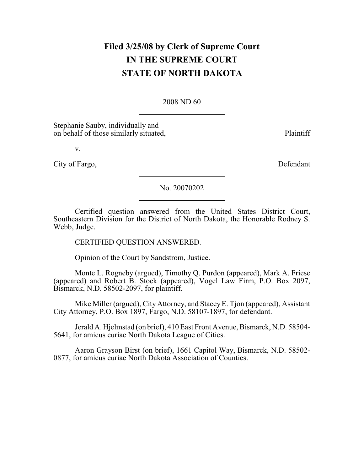# **Filed 3/25/08 by Clerk of Supreme Court IN THE SUPREME COURT STATE OF NORTH DAKOTA**

[2008 ND 60](http://www.ndcourts.gov/supreme-court/opinion/2008ND60)

Stephanie Sauby, individually and on behalf of those similarly situated, Plaintiff

v.

City of Fargo, Defendant

[No. 20070202](http://www.ndcourts.gov/supreme-court/dockets/20070202)

Certified question answered from the United States District Court, Southeastern Division for the District of North Dakota, the Honorable Rodney S. Webb, Judge.

CERTIFIED QUESTION ANSWERED.

Opinion of the Court by Sandstrom, Justice.

Monte L. Rogneby (argued), Timothy Q. Purdon (appeared), Mark A. Friese (appeared) and Robert B. Stock (appeared), Vogel Law Firm, P.O. Box 2097, Bismarck, N.D. 58502-2097, for plaintiff.

Mike Miller (argued), City Attorney, and StaceyE. Tjon (appeared), Assistant City Attorney, P.O. Box 1897, Fargo, N.D. 58107-1897, for defendant.

Jerald A. Hjelmstad (on brief), 410 East Front Avenue, Bismarck, N.D. 58504- 5641, for amicus curiae North Dakota League of Cities.

Aaron Grayson Birst (on brief), 1661 Capitol Way, Bismarck, N.D. 58502- 0877, for amicus curiae North Dakota Association of Counties.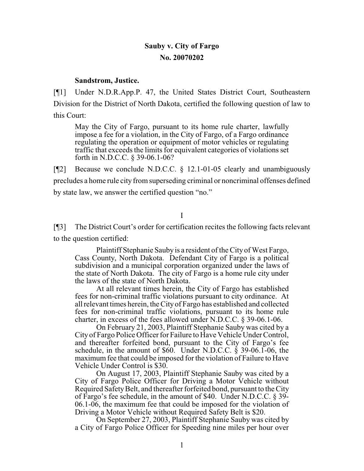## **Sauby v. City of Fargo [No. 20070202](http://www.ndcourts.gov/supreme-court/dockets/20070202)**

#### **Sandstrom, Justice.**

[¶1] Under [N.D.R.App.P. 47,](http://www.ndcourts.gov/legal-resources/rules/ndrappp/47) the United States District Court, Southeastern Division for the District of North Dakota, certified the following question of law to this Court:

May the City of Fargo, pursuant to its home rule charter, lawfully impose a fee for a violation, in the City of Fargo, of a Fargo ordinance regulating the operation or equipment of motor vehicles or regulating traffic that exceeds the limits for equivalent categories of violations set forth in N.D.C.C. § 39-06.1-06?

[¶2] Because we conclude N.D.C.C. § 12.1-01-05 clearly and unambiguously precludes a home rule city from superseding criminal or noncriminal offenses defined by state law, we answer the certified question "no."

I

[¶3] The District Court's order for certification recites the following facts relevant to the question certified:

Plaintiff Stephanie Sauby is a resident of the City of West Fargo, Cass County, North Dakota. Defendant City of Fargo is a political subdivision and a municipal corporation organized under the laws of the state of North Dakota. The city of Fargo is a home rule city under the laws of the state of North Dakota.

At all relevant times herein, the City of Fargo has established fees for non-criminal traffic violations pursuant to city ordinance. At all relevant times herein, the City of Fargo has established and collected fees for non-criminal traffic violations, pursuant to its home rule charter, in excess of the fees allowed under N.D.C.C. § 39-06.1-06.

On February 21, 2003, Plaintiff Stephanie Sauby was cited by a City of Fargo Police Officer for Failure to Have Vehicle Under Control, and thereafter forfeited bond, pursuant to the City of Fargo's fee schedule, in the amount of \$60. Under N.D.C.C. § 39-06.1-06, the maximum fee that could be imposed for the violation of Failure to Have Vehicle Under Control is \$30.

On August 17, 2003, Plaintiff Stephanie Sauby was cited by a City of Fargo Police Officer for Driving a Motor Vehicle without Required Safety Belt, and thereafter forfeited bond, pursuant to the City of Fargo's fee schedule, in the amount of \$40. Under N.D.C.C. § 39- 06.1-06, the maximum fee that could be imposed for the violation of Driving a Motor Vehicle without Required Safety Belt is \$20.

On September 27, 2003, Plaintiff Stephanie Sauby was cited by a City of Fargo Police Officer for Speeding nine miles per hour over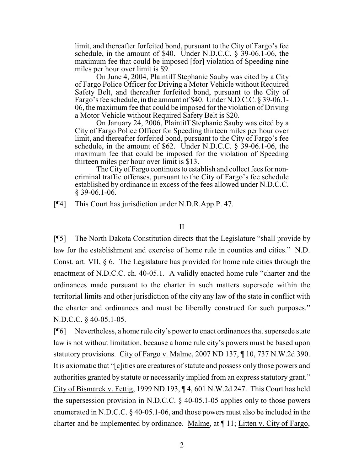limit, and thereafter forfeited bond, pursuant to the City of Fargo's fee schedule, in the amount of \$40. Under N.D.C.C. § 39-06.1-06, the maximum fee that could be imposed [for] violation of Speeding nine miles per hour over limit is \$9.

On June 4, 2004, Plaintiff Stephanie Sauby was cited by a City of Fargo Police Officer for Driving a Motor Vehicle without Required Safety Belt, and thereafter forfeited bond, pursuant to the City of Fargo's fee schedule, in the amount of \$40. Under N.D.C.C. § 39-06.1- 06, the maximum fee that could be imposed for the violation of Driving a Motor Vehicle without Required Safety Belt is \$20.

On January 24, 2006, Plaintiff Stephanie Sauby was cited by a City of Fargo Police Officer for Speeding thirteen miles per hour over limit, and thereafter forfeited bond, pursuant to the City of Fargo's fee schedule, in the amount of \$62. Under N.D.C.C. § 39-06.1-06, the maximum fee that could be imposed for the violation of Speeding thirteen miles per hour over limit is \$13.

The City of Fargo continues to establish and collect fees for noncriminal traffic offenses, pursuant to the City of Fargo's fee schedule established by ordinance in excess of the fees allowed under N.D.C.C. § 39-06.1-06.

[¶4] This Court has jurisdiction under [N.D.R.App.P. 47.](http://www.ndcourts.gov/legal-resources/rules/ndrappp/47)

### II

[¶5] The North Dakota Constitution directs that the Legislature "shall provide by law for the establishment and exercise of home rule in counties and cities." N.D. Const. art. VII, § 6. The Legislature has provided for home rule cities through the enactment of N.D.C.C. ch. 40-05.1. A validly enacted home rule "charter and the ordinances made pursuant to the charter in such matters supersede within the territorial limits and other jurisdiction of the city any law of the state in conflict with the charter and ordinances and must be liberally construed for such purposes." N.D.C.C. § 40-05.1-05.

[¶6] Nevertheless, a home rule city's power to enact ordinances that supersede state law is not without limitation, because a home rule city's powers must be based upon statutory provisions. City of Fargo v. Malme, [2007 ND 137,](http://www.ndcourts.gov/supreme-court/opinion/2007ND137) ¶ 10, [737 N.W.2d 390.](http://www.ndcourts.gov/supreme-court/opinion/737NW2d390) It is axiomatic that "[c]ities are creatures of statute and possess only those powers and authorities granted by statute or necessarily implied from an express statutory grant." City of Bismarck v. Fettig, [1999 ND 193,](http://www.ndcourts.gov/supreme-court/opinion/1999ND193) ¶ 4, [601 N.W.2d 247.](http://www.ndcourts.gov/supreme-court/opinion/601NW2d247) This Court has held the supersession provision in N.D.C.C. § 40-05.1-05 applies only to those powers enumerated in N.D.C.C. § 40-05.1-06, and those powers must also be included in the charter and be implemented by ordinance. Malme, at ¶ 11; Litten v. City of Fargo,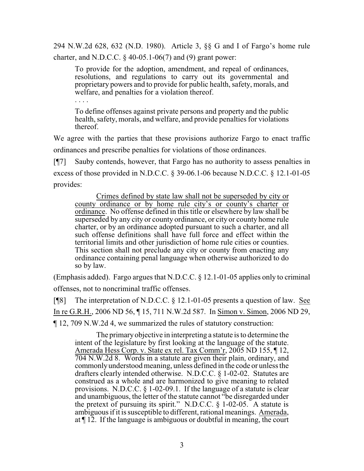[294 N.W.2d 628,](http://www.ndcourts.gov/supreme-court/opinion/294NW2d628) 632 (N.D. 1980). Article 3, §§ G and I of Fargo's home rule charter, and N.D.C.C.  $\frac{6}{9}$  40-05.1-06(7) and (9) grant power:

To provide for the adoption, amendment, and repeal of ordinances, resolutions, and regulations to carry out its governmental and proprietary powers and to provide for public health, safety, morals, and welfare, and penalties for a violation thereof.

. . . .

To define offenses against private persons and property and the public health, safety, morals, and welfare, and provide penalties for violations thereof.

We agree with the parties that these provisions authorize Fargo to enact traffic ordinances and prescribe penalties for violations of those ordinances.

[¶7] Sauby contends, however, that Fargo has no authority to assess penalties in excess of those provided in N.D.C.C. § 39-06.1-06 because N.D.C.C. § 12.1-01-05 provides:

Crimes defined by state law shall not be superseded by city or county ordinance or by home rule city's or county's charter or ordinance. No offense defined in this title or elsewhere by law shall be superseded by any city or county ordinance, or city or county home rule charter, or by an ordinance adopted pursuant to such a charter, and all such offense definitions shall have full force and effect within the territorial limits and other jurisdiction of home rule cities or counties. This section shall not preclude any city or county from enacting any ordinance containing penal language when otherwise authorized to do so by law.

(Emphasis added). Fargo argues that N.D.C.C. § 12.1-01-05 applies only to criminal offenses, not to noncriminal traffic offenses.

[¶8] The interpretation of N.D.C.C. § 12.1-01-05 presents a question of law. See In re G.R.H., [2006 ND 56,](http://www.ndcourts.gov/supreme-court/opinion/2006ND56) ¶ 15, [711 N.W.2d 587.](http://www.ndcourts.gov/supreme-court/opinion/711NW2d587) In Simon v. Simon, [2006 ND 29,](http://www.ndcourts.gov/supreme-court/opinion/2006ND29) ¶ 12, 709 N.W.2d 4, we summarized the rules of statutory construction:

The primaryobjective in interpreting a statute is to determine the intent of the legislature by first looking at the language of the statute. Amerada Hess Corp. v. State ex rel. Tax Comm'r, [2005 ND 155,](http://www.ndcourts.gov/supreme-court/opinion/2005ND155) ¶ 12, 704 N.W.2d 8. Words in a statute are given their plain, ordinary, and commonlyunderstood meaning, unless defined in the code or unless the drafters clearly intended otherwise. N.D.C.C. § 1-02-02. Statutes are construed as a whole and are harmonized to give meaning to related provisions. N.D.C.C. § 1-02-09.1. If the language of a statute is clear and unambiguous, the letter of the statute cannot "be disregarded under the pretext of pursuing its spirit." N.D.C.C. § 1-02-05. A statute is ambiguous if it is susceptible to different, rational meanings. Amerada, at ¶ 12. If the language is ambiguous or doubtful in meaning, the court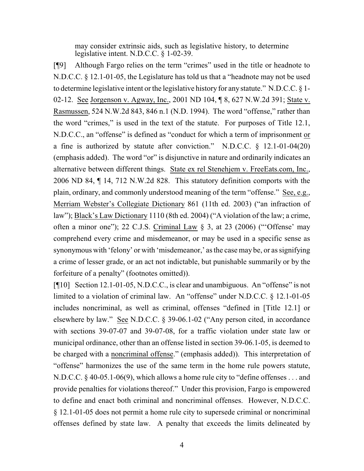may consider extrinsic aids, such as legislative history, to determine legislative intent. N.D.C.C. § 1-02-39.

[¶9] Although Fargo relies on the term "crimes" used in the title or headnote to N.D.C.C. § 12.1-01-05, the Legislature has told us that a "headnote may not be used to determine legislative intent or the legislative history for any statute." N.D.C.C. § 1- 02-12. See Jorgenson v. Agway, Inc., [2001 ND 104,](http://www.ndcourts.gov/supreme-court/opinion/2001ND104) ¶ 8, [627 N.W.2d 391;](http://www.ndcourts.gov/supreme-court/opinion/627NW2d391) State v. Rasmussen, [524 N.W.2d 843,](http://www.ndcourts.gov/supreme-court/opinion/524NW2d843) 846 n.1 (N.D. 1994). The word "offense," rather than the word "crimes," is used in the text of the statute. For purposes of Title 12.1, N.D.C.C., an "offense" is defined as "conduct for which a term of imprisonment or a fine is authorized by statute after conviction." N.D.C.C. § 12.1-01-04(20) (emphasis added). The word "or" is disjunctive in nature and ordinarily indicates an alternative between different things. State ex rel Stenehjem v. FreeEats.com, Inc., [2006 ND 84,](http://www.ndcourts.gov/supreme-court/opinion/2006ND84) ¶ 14, [712 N.W.2d 828.](http://www.ndcourts.gov/supreme-court/opinion/712NW2d828) This statutory definition comports with the plain, ordinary, and commonly understood meaning of the term "offense." See, e.g., Merriam Webster's Collegiate Dictionary 861 (11th ed. 2003) ("an infraction of law"); Black's Law Dictionary 1110 (8th ed. 2004) ("A violation of the law; a crime, often a minor one"); 22 C.J.S. Criminal Law  $\S$  3, at 23 (2006) ("Offense' may comprehend every crime and misdemeanor, or may be used in a specific sense as synonymous with 'felony' or with 'misdemeanor,' as the case may be, or as signifying a crime of lesser grade, or an act not indictable, but punishable summarily or by the forfeiture of a penalty" (footnotes omitted)).

[¶10] Section 12.1-01-05, N.D.C.C., is clear and unambiguous. An "offense" is not limited to a violation of criminal law. An "offense" under N.D.C.C. § 12.1-01-05 includes noncriminal, as well as criminal, offenses "defined in [Title 12.1] or elsewhere by law." See N.D.C.C. § 39-06.1-02 ("Any person cited, in accordance with sections 39-07-07 and 39-07-08, for a traffic violation under state law or municipal ordinance, other than an offense listed in section 39-06.1-05, is deemed to be charged with a noncriminal offense." (emphasis added)). This interpretation of "offense" harmonizes the use of the same term in the home rule powers statute, N.D.C.C. § 40-05.1-06(9), which allows a home rule city to "define offenses . . . and provide penalties for violations thereof." Under this provision, Fargo is empowered to define and enact both criminal and noncriminal offenses. However, N.D.C.C. § 12.1-01-05 does not permit a home rule city to supersede criminal or noncriminal offenses defined by state law. A penalty that exceeds the limits delineated by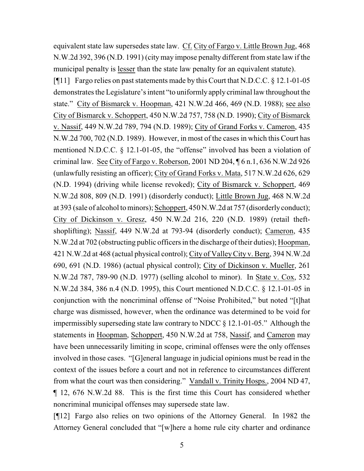equivalent state law supersedes state law. Cf. City of Fargo v. Little Brown Jug, [468](http://www.ndcourts.gov/supreme-court/opinion/468NW2d392) [N.W.2d 392,](http://www.ndcourts.gov/supreme-court/opinion/468NW2d392) 396 (N.D. 1991) (city may impose penalty different from state law if the municipal penalty is lesser than the state law penalty for an equivalent statute).

[¶11] Fargo relies on past statements made by this Court that N.D.C.C. § 12.1-01-05 demonstrates the Legislature's intent "to uniformly apply criminal law throughout the state." City of Bismarck v. Hoopman, [421 N.W.2d 466,](http://www.ndcourts.gov/supreme-court/opinion/421NW2d466) 469 (N.D. 1988); see also City of Bismarck v. Schoppert, [450 N.W.2d 757,](http://www.ndcourts.gov/supreme-court/opinion/450NW2d757) 758 (N.D. 1990); City of Bismarck v. Nassif, [449 N.W.2d 789,](http://www.ndcourts.gov/supreme-court/opinion/449NW2d789) 794 (N.D. 1989); City of Grand Forks v. Cameron, [435](http://www.ndcourts.gov/supreme-court/opinion/435NW2d700) [N.W.2d 700,](http://www.ndcourts.gov/supreme-court/opinion/435NW2d700) 702 (N.D. 1989). However, in most of the cases in which this Court has mentioned N.D.C.C. § 12.1-01-05, the "offense" involved has been a violation of criminal law. See City of Fargo v. Roberson, [2001 ND](http://www.ndcourts.gov/supreme-court/opinion/2001ND204) 204, ¶ 6 n.1, [636 N.W.2d 926](http://www.ndcourts.gov/supreme-court/opinion/636NW2d926) (unlawfully resisting an officer); City of Grand Forks v. Mata, [517 N.W.2d 626,](http://www.ndcourts.gov/supreme-court/opinion/517NW2d626) 629 (N.D. 1994) (driving while license revoked); City of Bismarck v. Schoppert, [469](http://www.ndcourts.gov/supreme-court/opinion/469NW2d808) [N.W.2d 808,](http://www.ndcourts.gov/supreme-court/opinion/469NW2d808) 809 (N.D. 1991) (disorderly conduct); Little Brown Jug, 468 N.W.2d at 393 (sale of alcohol to minors); Schoppert, 450 N.W.2d at 757 (disorderlyconduct); City of Dickinson v. Gresz, [450 N.W.2d 216,](http://www.ndcourts.gov/supreme-court/opinion/450NW2d216) 220 (N.D. 1989) (retail theftshoplifting); Nassif, 449 N.W.2d at 793-94 (disorderly conduct); Cameron, 435 N.W.2d at 702 (obstructing public officers in the discharge oftheir duties); Hoopman, 421 N.W.2d at 468 (actual physical control); City of ValleyCity v. Berg, [394 N.W.2d](http://www.ndcourts.gov/supreme-court/opinion/394NW2d690) [690,](http://www.ndcourts.gov/supreme-court/opinion/394NW2d690) 691 (N.D. 1986) (actual physical control); City of Dickinson v. Mueller, [261](http://www.ndcourts.gov/supreme-court/opinion/261NW2d787) [N.W.2d 787,](http://www.ndcourts.gov/supreme-court/opinion/261NW2d787) 789-90 (N.D. 1977) (selling alcohol to minor). In State v. Cox, [532](http://www.ndcourts.gov/supreme-court/opinion/532NW2d384) [N.W.2d 384,](http://www.ndcourts.gov/supreme-court/opinion/532NW2d384) 386 n.4 (N.D. 1995), this Court mentioned N.D.C.C. § 12.1-01-05 in conjunction with the noncriminal offense of "Noise Prohibited," but noted "[t]hat charge was dismissed, however, when the ordinance was determined to be void for impermissibly superseding state law contrary to NDCC § 12.1-01-05." Although the statements in Hoopman, Schoppert, 450 N.W.2d at 758, Nassif, and Cameron may have been unnecessarily limiting in scope, criminal offenses were the only offenses involved in those cases. "[G]eneral language in judicial opinions must be read in the context of the issues before a court and not in reference to circumstances different from what the court was then considering." Vandall v. Trinity Hosps., [2004 ND 47,](http://www.ndcourts.gov/supreme-court/opinion/2004ND47) ¶ 12, 676 N.W.2d 88. This is the first time this Court has considered whether noncriminal municipal offenses may supersede state law.

[¶12] Fargo also relies on two opinions of the Attorney General. In 1982 the Attorney General concluded that "[w]here a home rule city charter and ordinance